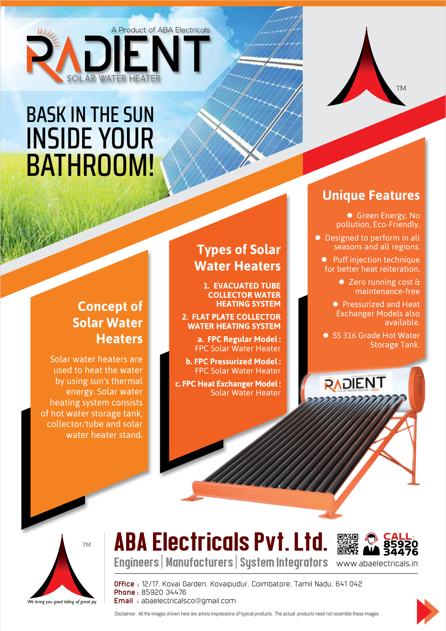

## **BASK IN THE SUN INSIDE YOUR** BATHROOM!

## **Concept of Solar Water Heaters**

Solar water heaters are used to heat the water by using sun's thermal energy. Solar water heating system consists of hot water storage tank, collector/tube and solar water heater stand.

## **Types of Solar Water Heaters**

**1. EVACUATED TUBE COLLECTOR WATER HEATING SYSTEM** 

**2. FLAT PLATE COLLECTOR WATER HEATING SYSTEM** 

> **a. FPC Regular Model:** FPC Solar Water Heater

**b. FPC Pressurized Model: FPC Solar Water Heater** 

**c. FPC Heat Exchanger Model:** Solar Water Heater

## **Unique Features**

**• Green Energy, No** pollution, Eco-Friendly.

TM

**•** Designed to perform in all seasons and all regions.

- $\bullet$  Puff injection technique for better heat reiteration.
	- Zero running cost & maintenance-free
	- Pressurized and Heat Exchanger Models also .available

● SS 316 Grade Hot Water Storage Tank.

RADIENT

We bring you good tiding of great joy TM

# ABA Electricals Pvt. Ltd.



Engineers | Manufacturers | System Integrators

**Office**: 12/17, Kovai Garden, Kovaipudur, Coimbatore, Tamil Nadu, 641 042 **Phone**: 85920 34476 **Email** : abaelectricalsco@gmail.com



Disclaimer : All the images shown here are artists impressions of typical products. The actual products need not resemble these images